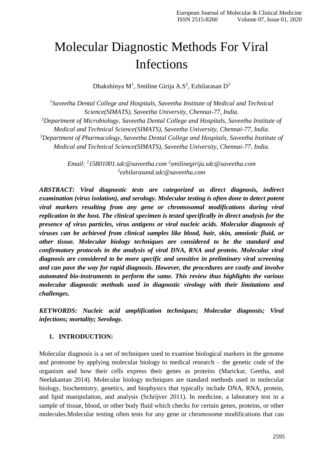# Molecular Diagnostic Methods For Viral Infections

Dhakshinya M $^1$ , Smiline Girija A.S $^2$ , Ezhilarasan D $^3$ 

*1 Saveetha Dental College and Hospitals, Saveetha Institute of Medical and Technical Science(SIMATS), Saveetha University, Chennai-77, India. <sup>2</sup>Department of Microbiology, Saveetha Dental College and Hospitals, Saveetha Institute of Medical and Technical Science(SIMATS), Saveetha University, Chennai-77, India. <sup>3</sup>Department of Pharmacology, Saveetha Dental College and Hospitals, Saveetha Institute of Medical and Technical Science(SIMATS), Saveetha University, Chennai-77, India.*

> *Email: <sup>1</sup> [15801001.sdc@saveetha.com](mailto:115801001.sdc@saveetha.com) <sup>2</sup> [smilinegirija.sdc@saveetha.com](mailto:2smilinegirija.sdc@saveetha.com) 3 [ezhilarasand.sdc@saveetha.com](mailto:3ezhilarasand.sdc@saveetha.com)*

*ABSTRACT: Viral diagnostic tests are categorized as direct diagnosis, indirect examination (virus isolation), and serology. Molecular testing is often done to detect potent viral markers resulting from any gene or chromosomal modifications during viral replication in the host. The clinical specimen is tested specifically in direct analysis for the presence of virus particles, virus antigens or viral nucleic acids. Molecular diagnosis of viruses can be achieved from clinical samples like blood, hair, skin, amniotic fluid, or other tissue. Molecular biology techniques are considered to be the standard and confirmatory protocols in the analysis of viral DNA, RNA and protein. Molecular viral diagnosis are considered to be more specific and sensitive in preliminary viral screening and can pave the way for rapid diagnosis. However, the procedures are costly and involve automated bio-instruments to perform the same. This review thus highlights the various molecular diagnostic methods used in diagnostic virology with their limitations and challenges.*

*KEYWORDS: Nucleic acid amplification techniques; Molecular diagnosis; Viral infections; mortality; Serology.*

### **1. INTRODUCTION:**

Molecular diagnosis is a set of techniques used to examine biological markers in the genome and proteome by applying molecular biology to medical research – the genetic code of the organism and how their cells express their genes as proteins [\(Marickar, Geetha, and](https://paperpile.com/c/eHVc7d/Sw3M1)  [Neelakantan 2014\).](https://paperpile.com/c/eHVc7d/Sw3M1) Molecular biology techniques are standard methods used in molecular biology, biochemistry, genetics, and biophysics that typically include DNA, RNA, protein, and lipid manipulation, and analysis [\(Schrijver 2011\).](https://paperpile.com/c/eHVc7d/9z1cu) In medicine, a laboratory test in a sample of tissue, blood, or other body fluid which checks for certain genes, proteins, or other molecules.Molecular testing often tests for any gene or chromosome modifications that can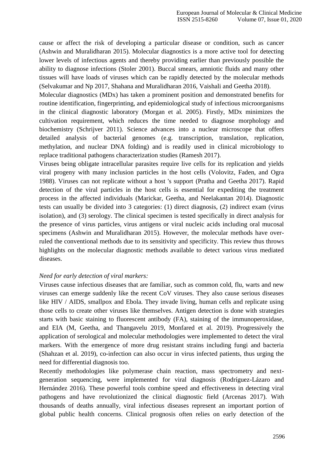cause or affect the risk of developing a particular disease or condition, such as cancer [\(Ashwin and Muralidharan](https://paperpile.com/c/eHVc7d/cGYcW) [2015\).](https://paperpile.com/c/eHVc7d/cGYcW) Molecular diagnostics is a more active tool for detecting lower levels of infectious agents and thereby providing earlier than previously possible the ability to diagnose infections [\(Stoler 2001\). B](https://paperpile.com/c/eHVc7d/VCzQS)uccal smears, amniotic fluids and many other tissues will have loads of viruses which can be rapidly detected by the molecular methods [\(Selvakumar and Np 2017, Shahana and Muralidharan 2016, Vaishali and Geetha](https://paperpile.com/c/eHVc7d/fZmN%2BKxr3%2BdteF) [2018\).](https://paperpile.com/c/eHVc7d/fZmN%2BKxr3%2BdteF)

Molecular diagnostics (MDx) has taken a prominent position and demonstrated benefits for routine identification, fingerprinting, and epidemiological study of infectious microorganisms in the clinical diagnostic laboratory [\(Morgan et al. 2005\).](https://paperpile.com/c/eHVc7d/qNeNF) Firstly, MDx minimizes the cultivation requirement, which reduces the time needed to diagnose morphology and biochemistry [\(Schrijver 2011\).](https://paperpile.com/c/eHVc7d/9z1cu) Science advances into a nuclear microscope that offers detailed analysis of bacterial genomes (e.g. transcription, translation, replication, methylation, and nuclear DNA folding) and is readily used in clinical microbiology to replace traditional pathogens characterization studies [\(Ramesh](https://paperpile.com/c/eHVc7d/mK0jb) 2017).

Viruses being obligate intracellular parasites require live cells for its replication and yields viral progeny with many inclusion particles in the host cells [\(Volovitz, Faden, and Ogra](https://paperpile.com/c/eHVc7d/yoqjh)  [1988\).](https://paperpile.com/c/eHVc7d/yoqjh) Viruses can not replicate without a host 's support [\(Pratha and Geetha 2017\).](https://paperpile.com/c/eHVc7d/qMaNY) Rapid detection of the viral particles in the host cells is essential for expediting the treatment process in the affected individuals [\(Marickar, Geetha, and](https://paperpile.com/c/eHVc7d/Sw3M1) [Neelakantan 2014\).](https://paperpile.com/c/eHVc7d/Sw3M1) Diagnostic tests can usually be divided into 3 categories: (1) direct diagnosis, (2) indirect exam (virus isolation), and (3) serology. The clinical specimen is tested specifically in direct analysis for the presence of virus particles, virus antigens or viral nucleic acids including oral mucosal specimens [\(Ashwin and Muralidharan 2015\).](https://paperpile.com/c/eHVc7d/cGYcW) However, the molecular methods have overruled the conventional methods due to its sensitivity and specificity. This review thus throws highlights on the molecular diagnostic methods available to detect various virus mediated diseases.

### *Need for early detection of viral markers:*

Viruses cause infectious diseases that are familiar, such as common cold, flu, warts and new viruses can emerge suddenly like the recent CoV viruses. They also cause serious diseases like HIV / AIDS, smallpox and Ebola. They invade living, human cells and replicate using those cells to create other viruses like themselves. Antigen detection is done with strategies starts with basic staining to fluorescent antibody (FA), staining of the immunoperoxidase, and EIA [\(M, Geetha, and Thangavelu 2019, Monfared et al.](https://paperpile.com/c/eHVc7d/61iS%2BAIZU) [2019\).](https://paperpile.com/c/eHVc7d/61iS%2BAIZU) Progressively the application of serological and molecular methodologies were implemented to detect the viral markers. With the emergence of more drug resistant strains including fungi and bacteria [\(Shahzan et al. 2019\),](https://paperpile.com/c/eHVc7d/Ywg6) co-infection can also occur in virus infected patients, thus urging the need for differential diagnosis too.

Recently methodologies like polymerase chain reaction, mass spectrometry and nextgeneration sequencing, were implemented for viral diagnosis [\(Rodríguez-Lázaro and](https://paperpile.com/c/eHVc7d/iDzQW)  [Hernández 2016\).](https://paperpile.com/c/eHVc7d/iDzQW) These powerful tools combine speed and effectiveness in detecting viral pathogens and have revolutionized the clinical diagnostic field [\(Arcenas 2017\).](https://paperpile.com/c/eHVc7d/bcZkz) With thousands of deaths annually, viral infectious diseases represent an important portion of global public health concerns. Clinical prognosis often relies on early detection of the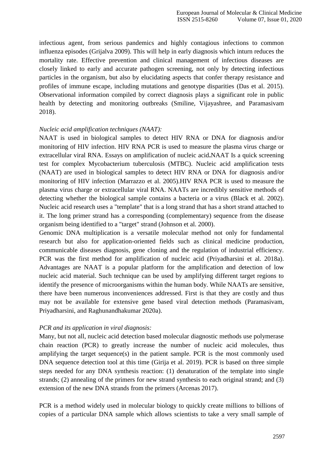infectious agent, from serious pandemics and highly contagious infections to common influenza episodes [\(Grijalva 2009\). T](https://paperpile.com/c/eHVc7d/thlEQ)his will help in early diagnosis which inturn reduces the mortality rate. Effective prevention and clinical management of infectious diseases are closely linked to early and accurate pathogen screening, not only by detecting infectious particles in the organism, but also by elucidating aspects that confer therapy resistance and profiles of immune escape, including mutations and genotype disparities [\(Das et al. 2015\).](https://paperpile.com/c/eHVc7d/UGGkN)  Observational information compiled by correct diagnosis plays a significant role in public health by detecting and monitoring outbreaks [\(Smiline, Vijayashree, and](https://paperpile.com/c/eHVc7d/yrYYP) [Paramasivam](https://paperpile.com/c/eHVc7d/yrYYP)  [2018\).](https://paperpile.com/c/eHVc7d/yrYYP)

### *Nucleic acid amplification techniques (NAAT):*

NAAT is used in biological samples to detect HIV RNA or DNA for diagnosis and/or monitoring of HIV infection. HIV RNA PCR is used to measure the plasma virus charge or extracellular viral RNA. Essays on amplification of nucleic acid**.**NAAT Is a quick screening test for complex Mycobacterium tuberculosis (MTBC). Nucleic acid amplification tests (NAAT) are used in biological samples to detect HIV RNA or DNA for diagnosis and/or monitoring of HIV infection [\(Marrazzo](https://paperpile.com/c/eHVc7d/nCR7X) et al. 2005).HIV RNA PCR is used to measure the plasma virus charge or extracellular viral RNA. NAATs are incredibly sensitive methods of detecting whether the biological sample contains a bacteria or a virus [\(Black et al. 2002\).](https://paperpile.com/c/eHVc7d/Os2eB) Nucleic acid research uses a "template" that is a long strand that has a short strand attached to it. The long primer strand has a corresponding (complementary) sequence from the disease organism being identified to a "target" strand [\(Johnson et al.](https://paperpile.com/c/eHVc7d/HWDQN) 2000).

Genomic DNA multiplication is a versatile molecular method not only for fundamental research but also for application-oriented fields such as clinical medicine production, communicable diseases diagnosis, gene cloning and the regulation of industrial efficiency. PCR was the first method for amplification of nucleic acid [\(Priyadharsini et al. 2018a\).](https://paperpile.com/c/eHVc7d/6XNaz) Advantages are NAAT is a popular platform for the amplification and detection of low nucleic acid material. Such technique can be used by amplifying different target regions to identify the presence of microorganisms within the human body. While NAATs are sensitive, there have been numerous inconveniences addressed. First is that they are costly and thus may not be available for extensive gene based viral detection methods [\(Paramasivam,](https://paperpile.com/c/eHVc7d/hHpqI)  [Priyadharsini, and](https://paperpile.com/c/eHVc7d/hHpqI) [Raghunandhakumar](https://paperpile.com/c/eHVc7d/hHpqI) 2020a).

### *PCR and its application in viral diagnosis:*

Many, but not all, nucleic acid detection based molecular diagnostic methods use polymerase chain reaction (PCR) to greatly increase the number of nucleic acid molecules, thus amplifying the target sequence(s) in the patient sample. PCR is the most commonly used DNA sequence detection tool at this time [\(Girija et al. 2019\).](https://paperpile.com/c/eHVc7d/9ymjs) PCR is based on three simple steps needed for any DNA synthesis reaction: (1) denaturation of the template into single strands; (2) annealing of the primers for new strand synthesis to each original strand; and (3) extension of the new DNA strands from the primers [\(Arcenas 2017\).](https://paperpile.com/c/eHVc7d/bcZkz)

PCR is a method widely used in molecular biology to quickly create millions to billions of copies of a particular DNA sample which allows scientists to take a very small sample of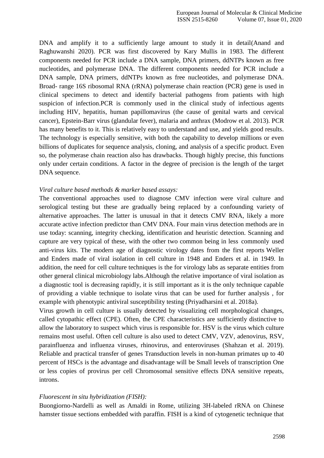DNA and amplify it to a sufficiently large amount to study it in detai[l\(Anand and](https://paperpile.com/c/eHVc7d/wwbZy)  [Raghuwanshi 2020\).](https://paperpile.com/c/eHVc7d/wwbZy) PCR was first discovered by Kary Mullis in 1983. The different components needed for PCR include a DNA sample, DNA primers, ddNTPs known as free nucleotides, and polymerase DNA. The different components needed for PCR include a DNA sample, DNA primers, ddNTPs known as free nucleotides, and polymerase DNA. Broad- range 16S ribosomal RNA (rRNA) polymerase chain reaction (PCR) gene is used in clinical specimens to detect and identify bacterial pathogens from patients with high suspicion of infection.PCR is commonly used in the clinical study of infectious agents including HIV, hepatitis, human papillomavirus (the cause of genital warts and cervical cancer), Epstein-Barr virus (glandular fever), malaria and anthrax [\(Modrow et](https://paperpile.com/c/eHVc7d/43O9M) [al. 2013\).](https://paperpile.com/c/eHVc7d/43O9M) PCR has many benefits to it. This is relatively easy to understand and use, and yields good results. The technology is especially sensitive, with both the capability to develop millions or even billions of duplicates for sequence analysis, cloning, and analysis of a specific product. Even so, the polymerase chain reaction also has drawbacks. Though highly precise, this functions only under certain conditions. A factor in the degree of precision is the length of the target DNA sequence.

#### *Viral culture based methods & marker based assays:*

The conventional approaches used to diagnose CMV infection were viral culture and serological testing but these are gradually being replaced by a confounding variety of alternative approaches. The latter is unusual in that it detects CMV RNA, likely a more accurate active infection predictor than CMV DNA. Four main virus detection methods are in use today: scanning, integrity checking, identification and heuristic detection. Scanning and capture are very typical of these, with the other two common being in less commonly used anti-virus kits. The modern age of diagnostic virology dates from the first reports Weller and Enders made of viral isolation in cell culture in 1948 and Enders et al. in 1949. In addition, the need for cell culture techniques is the for virology labs as separate entities from other general clinical microbiology labs.Although the relative importance of viral isolation as a diagnostic tool is decreasing rapidly, it is still important as it is the only technique capable of providing a viable technique to isolate virus that can be used for further analysis , for example with phenotypic antiviral susceptibility testing [\(Priyadharsini et al. 2018a\).](https://paperpile.com/c/eHVc7d/6XNaz)

Virus growth in cell culture is usually detected by visualizing cell morphological changes, called cytopathic effect (CPE). Often, the CPE characteristics are sufficiently distinctive to allow the laboratory to suspect which virus is responsible for. HSV is the virus which culture remains most useful. Often cell culture is also used to detect CMV, VZV, adenovirus, RSV, parainfluenza and influenza viruses, rhinovirus, and enteroviruses [\(Shahzan et al. 2019\).](https://paperpile.com/c/eHVc7d/Ywg6) Reliable and practical transfer of genes Transduction levels in non-human primates up to 40 percent of HSCs is the advantage and disadvantage will be Small levels of transcription One or less copies of provirus per cell Chromosomal sensitive effects DNA sensitive repeats, introns.

#### *Fluorescent in situ hybridization (FISH):*

Buongiorno-Nardelli as well as Amaldi in Rome, utilizing 3H-labeled rRNA on Chinese hamster tissue sections embedded with paraffin. FISH is a kind of cytogenetic technique that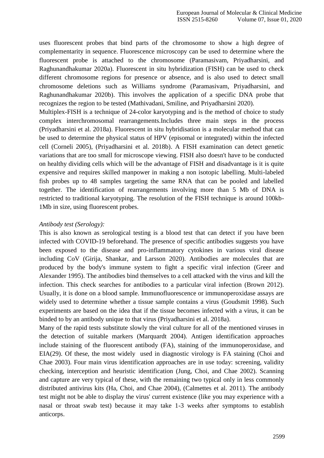uses fluorescent probes that bind parts of the chromosome to show a high degree of complementarity in sequence. Fluorescence microscopy can be used to determine where the fluorescent probe is attached to the chromosome [\(Paramasivam, Priyadharsini, and](https://paperpile.com/c/eHVc7d/hHpqI)  [Raghunandhakumar 2020a\).](https://paperpile.com/c/eHVc7d/hHpqI) Fluorescent in situ hybridization (FISH) can be used to check different chromosome regions for presence or absence, and is also used to detect small chromosome deletions such as Williams syndrome [\(Paramasivam, Priyadharsini, and](https://paperpile.com/c/eHVc7d/sFxuG) [Raghunandhakumar 2020b\).](https://paperpile.com/c/eHVc7d/sFxuG) This involves the application of a specific DNA probe that recognizes the region to be tested [\(Mathivadani, Smiline, and Priyadharsini](https://paperpile.com/c/eHVc7d/PvIOM) 2020).

Multiplex-FISH is a technique of 24-color karyotyping and is the method of choice to study complex interchromosomal rearrangements.Includes three main steps in the process [\(Priyadharsini et al. 2018a\).](https://paperpile.com/c/eHVc7d/6XNaz) Fluorescent in situ hybridisation is a molecular method that can be used to determine the physical status of HPV (episomal or integrated) within the infected cell [\(Corneli 2005\),](https://paperpile.com/c/eHVc7d/WvBme) [\(Priyadharsini et al. 2018b\).](https://paperpile.com/c/eHVc7d/Zlf1G) A FISH examination can detect genetic variations that are too small for microscope viewing. FISH also doesn't have to be conducted on healthy dividing cells which will be the advantage of FISH and disadvantage is it is quite expensive and requires skilled manpower in making a non isotopic labelling. Multi-labeled fish probes up to 48 samples targeting the same RNA that can be pooled and labelled together. The identification of rearrangements involving more than 5 Mb of DNA is restricted to traditional karyotyping. The resolution of the FISH technique is around 100kb-1Mb in size, using fluorescent probes.

#### *Antibody test (Serology):*

This is also known as serological testing is a blood test that can detect if you have been infected with COVID-19 beforehand. The presence of specific antibodies suggests you have been exposed to the disease and pro-inflammatory cytokines in various viral disease including CoV [\(Girija, Shankar, and Larsson](https://paperpile.com/c/eHVc7d/0blPX) [2020\). A](https://paperpile.com/c/eHVc7d/0blPX)ntibodies are molecules that are produced by the body's immune system to fight a specific viral infection [\(Greer and](https://paperpile.com/c/eHVc7d/oEwih)  [Alexander 1995\). T](https://paperpile.com/c/eHVc7d/oEwih)he antibodies bind themselves to a cell attacked with the virus and kill the infection. This check searches for antibodies to a particular viral infection [\(Brown 2012\).](https://paperpile.com/c/eHVc7d/aYhkD)  Usually, it is done on a blood sample. Immunofluorescence or immunoperoxidase assays are widely used to determine whether a tissue sample contains a virus [\(Goudsmit 1998\).](https://paperpile.com/c/eHVc7d/YS5J7) Such experiments are based on the idea that if the tissue becomes infected with a virus, it can be binded to by an antibody unique to that virus [\(Priyadharsini et al. 2018a\).](https://paperpile.com/c/eHVc7d/6XNaz)

Many of the rapid tests substitute slowly the viral culture for all of the mentioned viruses in the detection of suitable markers [\(Marquardt 2004\).](https://paperpile.com/c/eHVc7d/zhrpC) Antigen identification approaches include staining of the fluorescent antibody (FA), staining of the immunoperoxidase, and EIA(29). Of these, the most widely used in diagnostic virology is FA staining [\(Choi and](https://paperpile.com/c/eHVc7d/sdI2Y)  [Chae 2003\).](https://paperpile.com/c/eHVc7d/sdI2Y) Four main virus identification approaches are in use today: screening, validity checking, interception and heuristic identification [\(Jung,](https://paperpile.com/c/eHVc7d/DpvrQ) [Choi, and Chae 2002\). S](https://paperpile.com/c/eHVc7d/DpvrQ)canning and capture are very typical of these, with the remaining two typical only in less commonly distributed antivirus kits [\(Ha, Choi, and Chae 2004\),](https://paperpile.com/c/eHVc7d/nloLN) [\(Calmettes et al. 2011\).](https://paperpile.com/c/eHVc7d/brs6o) The antibody test might not be able to display the virus' current existence (like you may experience with a nasal or throat swab test) because it may take 1-3 weeks after symptoms to establish anticorps.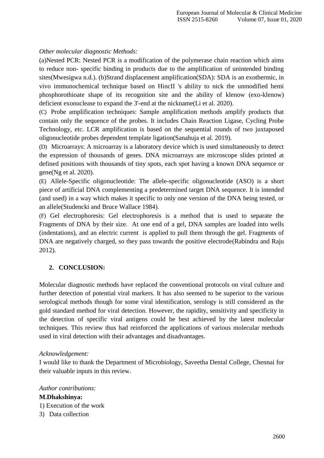## *Other molecular diagnostic Methods:*

(a)Nested PCR: Nested PCR is a modification of the polymerase chain reaction which aims to reduce non- specific binding in products due to the amplification of unintended binding site[s\(Mwesigwa n.d.\).](https://paperpile.com/c/eHVc7d/O3n7D) (b)Strand displacement amplification(SDA): SDA is an exothermic, in vivo immunochemical technique based on HincII 's ability to nick the unmodified hemi phosphorothioate shape of its recognition site and the ability of klenow (exo-klenow) deficient exonuclease to expand the 3'-end at the nicknam[e\(Li et al.](https://paperpile.com/c/eHVc7d/i9r4G) [2020\).](https://paperpile.com/c/eHVc7d/i9r4G)

(C) Probe amplification techniques: Sample amplification methods amplify products that contain only the sequence of the probes. It includes Chain Reaction Ligase, Cycling Probe Technology, etc. LCR amplification is based on the sequential rounds of two juxtaposed oligonucleotide probes dependent template ligat[ion\(Sanahuja et al.](https://paperpile.com/c/eHVc7d/RvOtS) 2019).

(D) Microarrays: A microarray is a laboratory device which is used simultaneously to detect the expression of thousands of genes. DNA microarrays are microscope slides printed at defined positions with thousands of tiny spots, each spot having a known DNA sequence or gen[e\(Ng et al.](https://paperpile.com/c/eHVc7d/wJ6Ax) 2020).

(E) Allele-Specific oligonucleotide: The allele-specific oligonucleotide (ASO) is a short piece of artificial DNA complementing a predetermined target DNA sequence. It is intended (and used) in a way which makes it specific to only one version of the DNA being tested, or an allel[e\(Studencki and Bruce Wallace](https://paperpile.com/c/eHVc7d/O3muX) [1984\).](https://paperpile.com/c/eHVc7d/O3muX)

(F) Gel electrophoresis: Gel electrophoresis is a method that is used to separate the Fragments of DNA by their size. At one end of a gel, DNA samples are loaded into wells (indentations), and an electric current is applied to pull them through the gel. Fragments of DNA are negatively charged, so they pass towards the positive electrod[e\(Rabindra and Raju](https://paperpile.com/c/eHVc7d/qxcdo) [2012\).](https://paperpile.com/c/eHVc7d/qxcdo)

## **2. CONCLUSION:**

Molecular diagnostic methods have replaced the conventional protocols on viral culture and further detection of potential viral markers. It has also seemed to be superior to the various serological methods though for some viral identification, serology is still considered as the gold standard method for viral detection. However, the rapidity, sensitivity and specificity in the detection of specific viral antigens could be best achieved by the latest molecular techniques. This review thus had reinforced the applications of various molecular methods used in viral detection with their advantages and disadvantages.

## *Acknowledgement:*

I would like to thank the Department of Microbiology, Saveetha Dental College, Chennai for their valuable inputs in this review.

## *Author contributions:*

**M.Dhakshinya:** 1) Execution of the work 3) Data collection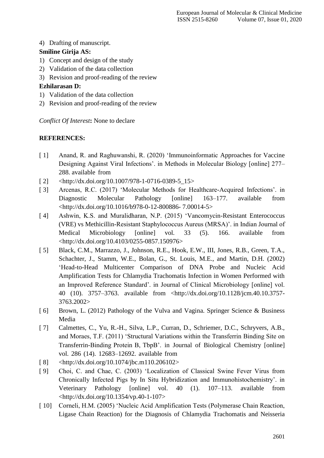4) Drafting of manuscript.

## **Smiline Girija AS:**

- 1) Concept and design of the study
- 2) Validation of the data collection
- 3) Revision and proof-reading of the review

## **Ezhilarasan D:**

- 1) Validation of the data collection
- 2) Revision and proof-reading of the review

*Conflict Of Interest***:** None to declare

## **REFERENCES:**

- [ 1] Anand, R. and Raghuwanshi, R. (2020) 'Immunoinformatic Approaches for Vaccine Designing Against Viral Infections'. in Methods in Molecular Biology [online] 277– 288. available from
- $[2]$  [<http://dx.doi.org/10.1007/978-1-0716-0389-5\\_15>](http://dx.doi.org/10.1007/978-1-0716-0389-5_15)
- [ 3] Arcenas, R.C. (2017) 'Molecular Methods for Healthcare-Acquired Infections'. in Diagnostic Molecular Pathology [online] 163–177. available from [<http://dx.doi.org/10.1016/b978-0-12-800886-](http://dx.doi.org/10.1016/b978-0-12-800886-7.00014-5) [7.00014-](http://dx.doi.org/10.1016/b978-0-12-800886-7.00014-5)[5>](http://paperpile.com/b/eHVc7d/bcZkz)
- [ 4] Ashwin, K.S. and Muralidharan, N.P. (2015) 'Vancomycin-Resistant Enterococcus (VRE) vs Methicillin-Resistant Staphylococcus Aureus (MRSA)'. in Indian Journal of Medical Microbiology [online] vol. 33 (5). 166. available from [<http://dx.doi.org/10.4103/0255-0857.150976>](http://dx.doi.org/10.4103/0255-0857.150976)
- [ 5] Black, C.M., Marrazzo, J., Johnson, R.E., Hook, E.W., III, Jones, R.B., Green, T.A., Schachter, J., Stamm, W.E., Bolan, G., St. Louis, M.E., and Martin, D.H. (2002) 'Head-to-Head Multicenter Comparison of DNA Probe and Nucleic Acid Amplification Tests for Chlamydia Trachomatis Infection in Women Performed with an Improved Reference Standard'. in Journal of Clinical Microbiology [online] vol. 40 (10). 3757–3763. available from [<http://dx.doi.org/10.1128/jcm.40.10.3757-](http://dx.doi.org/10.1128/jcm.40.10.3757-3763.2002) [3763.2002](http://dx.doi.org/10.1128/jcm.40.10.3757-3763.2002)[>](http://paperpile.com/b/eHVc7d/Os2eB)
- [ 6] [Brown, L. \(2012\) Pathology of the Vulva and Vagina. Springer Science & Business](http://paperpile.com/b/eHVc7d/aYhkD) [Media](http://paperpile.com/b/eHVc7d/aYhkD)
- [ 7] Calmettes, C., Yu, R.-H., Silva, L.P., Curran, D., Schriemer, D.C., Schryvers, A.B., and Moraes, T.F. (2011) 'Structural Variations within the Transferrin Binding Site on Transferrin-Binding Protein B, TbpB'. in Journal of Biological Chemistry [online] vol. 286 (14). 12683–12692. available from
- [ 8] [<http://dx.doi.org/10.1074/jbc.m110.206102>](http://dx.doi.org/10.1074/jbc.m110.206102)
- [ 9] Choi, C. and Chae, C. (2003) 'Localization of Classical Swine Fever Virus from Chronically Infected Pigs by In Situ Hybridization and Immunohistochemistry'. in Veterinary Pathology [online] vol. 40 (1). 107–113. available from [<http://dx.doi.org/10.1354/vp.40-1-107>](http://dx.doi.org/10.1354/vp.40-1-)
- [ 10] Corneli, H.M. (2005) 'Nucleic Acid Amplification Tests (Polymerase Chain Reaction, Ligase Chain Reaction) for the Diagnosis of Chlamydia Trachomatis and Neisseria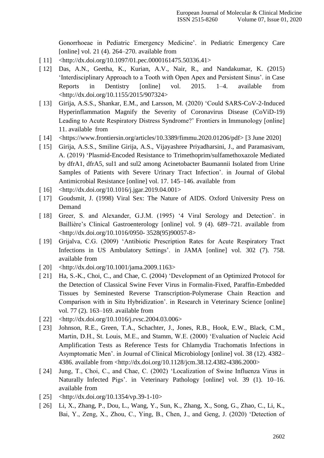Gonorrhoeae in Pediatric Emergency Medicine'. in Pediatric Emergency Care [online] vol. 21 (4). 264–270. available from

- [11] [<http://dx.doi.org/10.1097/01.pec.0000161475.50336.41>](http://dx.doi.org/10.1097/01.pec.0000161475.50336.41)
- [ 12] Das, A.N., Geetha, K., Kurian, A.V., Nair, R., and Nandakumar, K. (2015) 'Interdisciplinary Approach to a Tooth with Open Apex and Persistent Sinus'. in Case Reports in Dentistry [online] vol. 2015. 1–4. available from [<http://dx.doi.org/10.1155/2015/907324>](http://dx.doi.org/10.1155/2015/907324)
- [ 13] Girija, A.S.S., Shankar, E.M., and Larsson, M. (2020) 'Could SARS-CoV-2-Induced Hyperinflammation Magnify the Severity of Coronavirus Disease (CoViD-19) Leading to Acute Respiratory Distress Syndrome?' Frontiers in Immunology [online] 11. available from
- [ 14] [<https://www.frontiersin.org/articles/10.3389/fimmu.2020.01206/pdf> \[3 June 2020\]](https://www.frontiersin.org/articles/10.3389/fimmu.2020.01206/pdf)
- [ 15] Girija, A.S.S., Smiline Girija, A.S., Vijayashree Priyadharsini, J., and Paramasivam, A. (2019) 'Plasmid-Encoded Resistance to Trimethoprim/sulfamethoxazole Mediated by dfrA1, dfrA5, sul1 and sul2 among Acinetobacter Baumannii Isolated from Urine Samples of Patients with Severe Urinary Tract Infection'. in Journal of Global Antimicrobial Resistance [online] vol. 17. 145–146. available from
- $[16]$  [<http://dx.doi.org/10.1016/j.jgar.2019.04.001>](http://dx.doi.org/10.1016/j.jgar.2019.04.001)
- [ 17] [Goudsmit, J. \(1998\) Viral Sex: The Nature of AIDS. Oxford University Press on](http://paperpile.com/b/eHVc7d/YS5J7) [Demand](http://paperpile.com/b/eHVc7d/YS5J7)
- [18] Greer, S. and Alexander, G.J.M. (1995) '4 Viral Serology and Detection'. in [Baillière's Clinical](http://paperpile.com/b/eHVc7d/oEwih) [Gastroenterology \[online\] vol. 9 \(4\). 689–721. available from](http://paperpile.com/b/eHVc7d/oEwih)  [<](http://paperpile.com/b/eHVc7d/oEwih)[http://dx.doi.org/10.1016/0950-](http://dx.doi.org/10.1016/0950-3528(95)90057-8) [3528\(95\)90057-](http://dx.doi.org/10.1016/0950-3528(95)90057-8)[8>](http://paperpile.com/b/eHVc7d/oEwih)
- [ 19] Grijalva, C.G. (2009) 'Antibiotic Prescription Rates for Acute Respiratory Tract Infections in US Ambulatory Settings'. in JAMA [online] vol. 302 (7). 758. available from
- [ 20] [<http://dx.doi.org/10.1001/jama.2009.1163>](http://dx.doi.org/10.1001/jama.2009.1163)
- [ 21] Ha, S.-K., Choi, C., and Chae, C. (2004) 'Development of an Optimized Protocol for the Detection of Classical Swine Fever Virus in Formalin-Fixed, Paraffin-Embedded Tissues by Seminested Reverse Transcription-Polymerase Chain Reaction and Comparison with in Situ Hybridization'. in Research in Veterinary Science [online] vol. 77 (2). 163–169. available from
- [ 22]  $\langle \text{http://dx.doi.org/10.1016/j.rvsc.2004.03.006} \rangle$
- [ 23] Johnson, R.E., Green, T.A., Schachter, J., Jones, R.B., Hook, E.W., Black, C.M., Martin, D.H., St. Louis, M.E., and Stamm, W.E. (2000) 'Evaluation of Nucleic Acid Amplification Tests as Reference Tests for Chlamydia Trachomatis Infections in Asymptomatic Men'. in Journal of Clinical Microbiology [online] vol. 38 (12). 4382– 4386. available from [<http://dx.doi.org/10.1128/jcm.38.12.4382-4386.2000>](http://dx.doi.org/10.1128/jcm.38.12.4382-4386.2000)
- [ 24] Jung, T., Choi, C., and Chae, C. (2002) 'Localization of Swine Influenza Virus in [Naturally Infected](http://paperpile.com/b/eHVc7d/DpvrQ) Pigs'. in [Veterinary](http://paperpile.com/b/eHVc7d/DpvrQ) Pathology [online] vol. 39 (1). 10–16. [available](http://paperpile.com/b/eHVc7d/DpvrQ) from
- [ 25] [<http://dx.doi.org/10.1354/vp.39-1-10>](http://paperpile.com/b/eHVc7d/DpvrQ)
- [ 26] Li, X., Zhang, P., Dou, L., Wang, Y., Sun, K., Zhang, X., Song, G., Zhao, C., Li, K., Bai, Y., Zeng, X., Zhou, C., Ying, B., Chen, J., and Geng, J. (2020) 'Detection of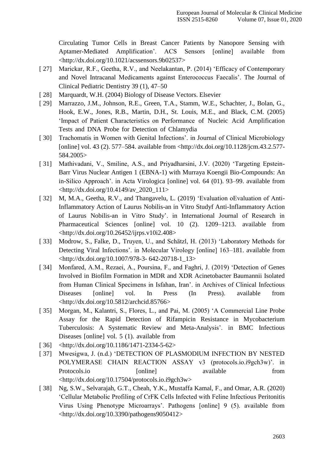Circulating Tumor Cells in Breast Cancer Patients by Nanopore Sensing with Aptamer-Mediated Amplification'. ACS Sensors [online] available from  $\langle \text{http://dx.doi.org/10.1021/acssensors.9b02537}\rangle$ 

- [ 27] [Marickar, R.F., Geetha, R.V., and Neelakantan, P. \(2014\) 'Efficacy of Contemporary](http://paperpile.com/b/eHVc7d/Sw3M1)  [and Novel](http://paperpile.com/b/eHVc7d/Sw3M1) [Intracanal Medicaments against Enterococcus Faecalis'. The Journal of](http://paperpile.com/b/eHVc7d/Sw3M1)  [Clinical Pediatric Dentistry 39 \(1\),](http://paperpile.com/b/eHVc7d/Sw3M1) [47–50](http://paperpile.com/b/eHVc7d/Sw3M1)
- [ 28] [Marquardt, W.H. \(2004\) Biology of Disease Vectors.](http://paperpile.com/b/eHVc7d/zhrpC) Elsevier
- [ 29] Marrazzo, J.M., Johnson, R.E., Green, T.A., Stamm, W.E., Schachter, J., Bolan, G., Hook, E.W., Jones, R.B., Martin, D.H., St. Louis, M.E., and Black, C.M. (2005) 'Impact of Patient Characteristics on Performance of Nucleic Acid Amplification Tests and DNA Probe for Detection of Chlamydia
- [30] Trachomatis in Women with Genital Infections'. in Journal of Clinical Microbiology [online] vol. 43 (2). 577–584. available from [<http://dx.doi.org/10.1128/jcm.43.2.577-](http://dx.doi.org/10.1128/jcm.43.2.577-584.2005) [584.2005>](http://dx.doi.org/10.1128/jcm.43.2.577-584.2005)
- [ 31] Mathivadani, V., Smiline, A.S., and Priyadharsini, J.V. (2020) 'Targeting Epstein-Barr Virus Nuclear Antigen 1 (EBNA-1) with Murraya Koengii Bio-Compounds: An in-Silico Approach'. in Acta Virologica [online] vol. 64 (01). 93–99. available from [<http://dx.doi.org/10.4149/av\\_2020\\_111>](http://dx.doi.org/10.4149/av_2020_111)
- [ 32] M, M.A., Geetha, R.V., and Thangavelu, L. (2019) 'Evaluation oEvaluation of Anti-Inflammatory Action of Laurus Nobilis-an in Vitro Studyf Anti-Inflammatory Action of Laurus Nobilis-an in Vitro Study'. in International Journal of Research in Pharmaceutical Sciences [online] vol. 10 (2). 1209–1213. available from [<http://dx.doi.org/10.26452/ijrps.v10i2.408>](http://dx.doi.org/10.26452/ijrps.v10i2.408)
- [ 33] Modrow, S., Falke, D., Truyen, U., and Schätzl, H. (2013) 'Laboratory Methods for [Detecting Viral](http://paperpile.com/b/eHVc7d/43O9M) [Infections'. in Molecular Virology \[online\] 163–181. available from](http://paperpile.com/b/eHVc7d/43O9M)  [<](http://paperpile.com/b/eHVc7d/43O9M)[http://dx.doi.org/10.1007/978-3-](http://dx.doi.org/10.1007/978-3-642-20718-1_13) [642-20718-1\\_13](http://dx.doi.org/10.1007/978-3-642-20718-1_13)[>](http://paperpile.com/b/eHVc7d/43O9M)
- [ 34] Monfared, A.M., Rezaei, A., Poursina, F., and Faghri, J. (2019) 'Detection of Genes Involved in Biofilm Formation in MDR and XDR Acinetobacter Baumannii Isolated from Human Clinical Specimens in Isfahan, Iran'. in Archives of Clinical Infectious Diseases [online] vol. In Press (In Press). available from [<http://dx.doi.org/10.5812/archcid.85766>](http://dx.doi.org/10.5812/archcid.85766)
- [ 35] [Morgan, M., Kalantri, S., Flores, L., and Pai, M. \(2005\) 'A Commercial Line Probe](http://paperpile.com/b/eHVc7d/qNeNF)  [Assay for the](http://paperpile.com/b/eHVc7d/qNeNF) [Rapid Detection of Rifampicin Resistance in Mycobacterium](http://paperpile.com/b/eHVc7d/qNeNF)  [Tuberculosis: A Systematic Review and](http://paperpile.com/b/eHVc7d/qNeNF) [Meta-Analysis'.](http://paperpile.com/b/eHVc7d/qNeNF) in BMC Infectious Diseases [online] vol. 5 (1). [available](http://paperpile.com/b/eHVc7d/qNeNF) from
- $[36]$  [<http://dx.doi.org/10.1186/1471-2334-5-](http://paperpile.com/b/eHVc7d/qNeNF)[62>](http://dx.doi.org/10.1186/1471-2334-5-62)
- [ 37] Mwesigwa, J. (n.d.) 'DETECTION OF PLASMODIUM INFECTION BY NESTED POLYMERASE CHAIN REACTION ASSAY v3 (protocols.io.i9gch3w)'. in Protocols.io [online] available from  $\langle \text{http://dx.doi.org/10.17504/protocols.io.i9gch3w}\rangle$
- [ 38] Ng, S.W., Selvarajah, G.T., Cheah, Y.K., Mustaffa Kamal, F., and Omar, A.R. (2020) 'Cellular Metabolic Profiling of CrFK Cells Infected with Feline Infectious Peritonitis Virus Using Phenotype Microarrays'. Pathogens [online] 9 (5). available from  $\langle \text{http://dx.doi.org/10.3390/pathogens9050412}\rangle$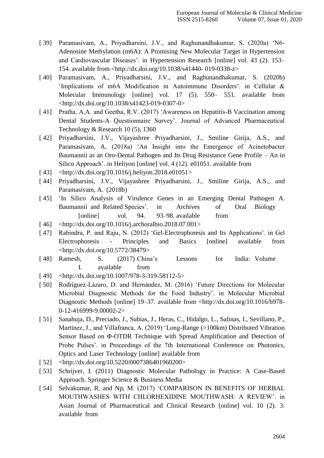- [ 39] [Paramasivam, A., Priyadharsini, J.V., and Raghunandhakumar, S. \(2020a\) 'N6-](http://paperpile.com/b/eHVc7d/hHpqI) [Adenosine](http://paperpile.com/b/eHVc7d/hHpqI) [Methylation \(m6A\): A Promising New Molecular Target in Hypertension](http://paperpile.com/b/eHVc7d/hHpqI)  [and Cardiovascular Diseases'. in](http://paperpile.com/b/eHVc7d/hHpqI) [Hypertension Research \[online\] vol. 43 \(2\). 153–](http://paperpile.com/b/eHVc7d/hHpqI) [154. available from <http://dx.doi.org/10.1038/s41440-](http://paperpile.com/b/eHVc7d/hHpqI) [019-0338-z](http://paperpile.com/b/eHVc7d/hHpqI)[>](http://dx.doi.org/10.1038/s41440-019-0338-z)
- [ 40] Paramasivam, A., Priyadharsini, J.V., and Raghunandhakumar, S. (2020b) 'Implications of m6A Modification in Autoimmune Disorders'. in Cellular & Molecular Immunology [online] vol. 17 (5). 550– 551. available from [<http://dx.doi.org/10.1038/s41423-019-0307-0>](http://dx.doi.org/10.1038/s41423-019-0307-)
- [41] Pratha, A.A. and Geetha, R.V. (2017) 'Awareness on Hepatitis-B Vaccination among [Dental](http://paperpile.com/b/eHVc7d/qMaNY) [Students-A Questionnaire Survey'. Journal of Advanced Pharmaceutical](http://paperpile.com/b/eHVc7d/qMaNY)  [Technology & Research 10 \(5\),](http://paperpile.com/b/eHVc7d/qMaNY) [1360](http://paperpile.com/b/eHVc7d/qMaNY)
- [ 42] Priyadharsini, J.V., Vijayashree Priyadharsini, J., Smiline Girija, A.S., and Paramasivam, A. (2018a) 'An Insight into the Emergence of Acinetobacter Baumannii as an Oro-Dental Pathogen and Its Drug Resistance Gene Profile – An in Silico Approach'. in Heliyon [online] vol. 4 (12). e01051. available from
- [43]  $\langle$ http://dx.doi.org/10.1016/j.heliyon.2018.e01051>
- [ 44] Priyadharsini, J.V., Vijayashree Priyadharsini, J., Smiline Girija, A.S., and Paramasivam, A. (2018b)
- [ 45] 'In Silico Analysis of Virulence Genes in an Emerging Dental Pathogen A. Baumannii and Related Species'. in Archives of Oral Biology [online] vol. 94. 93–98. available from
- [ 46] [<http://dx.doi.org/10.1016/j.archoralbio.2018.07.001>](http://dx.doi.org/10.1016/j.archoralbio.2018.07.001)
- [ 47] Rabindra, P. and Raju, N. (2012) 'Gel-Electrophoresis and Its Applications'. in Gel Electrophoresis - Principles and Basics [online] available from [<http://dx.doi.org/10.5772/38479>](http://dx.doi.org/10.5772/38479)
- [ 48] [Ramesh,](http://paperpile.com/b/eHVc7d/mK0jb) S. (2017) China's Lessons for India: Volume I. [available](http://paperpile.com/b/eHVc7d/mK0jb) from
- [ 49] [<http://dx.doi.org/10.1007/978-3-319-58112-](http://paperpile.com/b/eHVc7d/mK0jb)[5>](http://dx.doi.org/10.1007/978-3-319-58112-5)
- [ 50] Rodríguez-Lázaro, D. and Hernández, M. (2016) 'Future Directions for Molecular Microbial Diagnostic Methods for the Food Industry'. in Molecular Microbial Diagnostic Methods [online] 19–37. available from [<http://dx.doi.org/10.1016/b978-](http://dx.doi.org/10.1016/b978-0-12-416999-9.00002-) [0-12-416999-9.00002-](http://dx.doi.org/10.1016/b978-0-12-416999-9.00002-)[2>](http://paperpile.com/b/eHVc7d/iDzQW)
- [ 51] Sanahuja, D., Preciado, J., Subías, J., Heras, C., Hidalgo, L., Salinas, I., Sevillano, P., Martínez, J., and Villafranca, A. (2019) 'Long-Range (>100km) Distributed Vibration Sensor Based on Φ-OTDR Technique with Spread Amplification and Detection of Probe Pulses'. in Proceedings of the 7th International Conference on Photonics, Optics and Laser Technology [online] available from
- [ 52] [<http://dx.doi.org/10.5220/0007386401960200>](http://dx.doi.org/10.5220/0007386401960200)
- [ 53] [Schrijver, I. \(2011\) Diagnostic Molecular Pathology in Practice: A Case-Based](http://paperpile.com/b/eHVc7d/9z1cu)  [Approach. Springer](http://paperpile.com/b/eHVc7d/9z1cu) [Science & Business](http://paperpile.com/b/eHVc7d/9z1cu) Media
- [54] Selvakumar, R. and Np, M. (2017) 'COMPARISON IN BENEFITS OF HERBAL MOUTHWASHES WITH CHLORHEXIDINE MOUTHWASH: A REVIEW'. in Asian Journal of Pharmaceutical and Clinical Research [online] vol. 10 (2). 3. available from